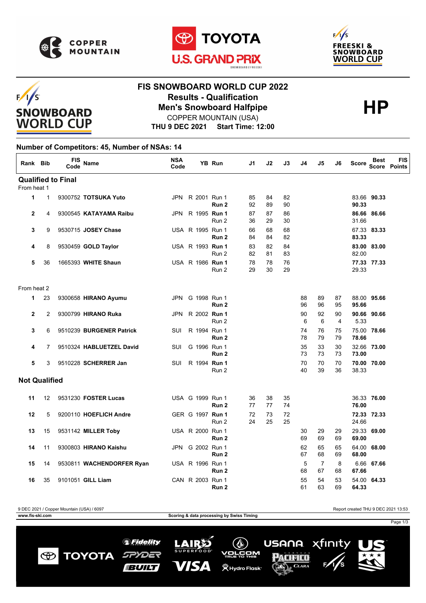

 $F/1/S$ 

**SNOWBOARD WORLD CUP** 





# **FIS SNOWBOARD WORLD CUP 2022 Results - Qualification<br>
Men's Snowboard Halfpipe<br>
COPPER MOUNTAIN (USA)** COPPER MOUNTAIN (USA)

**THU 9 DEC 2021 Start Time: 12:00**

### **Number of Competitors: 45, Number of NSAs: 14**

| Rank Bib                  |                | <b>FIS</b><br>Code | <b>Name</b>               | <b>NSA</b><br>Code |                  | YB Run           | J1       | J2       | J3       | J4       | J5                   | J6       | <b>Score</b> | Best        | FIS<br><b>Score Points</b> |
|---------------------------|----------------|--------------------|---------------------------|--------------------|------------------|------------------|----------|----------|----------|----------|----------------------|----------|--------------|-------------|----------------------------|
| <b>Qualified to Final</b> |                |                    |                           |                    |                  |                  |          |          |          |          |                      |          |              |             |                            |
| From heat 1               |                |                    |                           |                    |                  |                  |          |          |          |          |                      |          |              |             |                            |
| 1                         | $\mathbf{1}$   |                    | 9300752 TOTSUKA Yuto      |                    | JPN R 2001 Run 1 | Run 2            | 85<br>92 | 84<br>89 | 82<br>90 |          |                      |          | 90.33        | 83.66 90.33 |                            |
| $\overline{2}$            | 4              |                    | 9300545 KATAYAMA Raibu    |                    | JPN R 1995 Run 1 | Run 2            | 87<br>36 | 87<br>29 | 86<br>30 |          |                      |          | 31.66        | 86.66 86.66 |                            |
| 3                         | 9              |                    | 9530715 JOSEY Chase       |                    | USA R 1995 Run 1 | Run 2            | 66<br>84 | 68<br>84 | 68<br>82 |          |                      |          | 83.33        | 67.33 83.33 |                            |
| 4                         | 8              |                    | 9530459 GOLD Taylor       |                    | USA R 1993 Run 1 | Run 2            | 83<br>82 | 82<br>81 | 84<br>83 |          |                      |          | 82.00        | 83.00 83.00 |                            |
| 5                         | 36             |                    | 1665393 WHITE Shaun       |                    | USA R 1986 Run 1 | Run 2            | 78<br>29 | 78<br>30 | 76<br>29 |          |                      |          | 29.33        | 77.33 77.33 |                            |
| From heat 2               |                |                    |                           |                    |                  |                  |          |          |          |          |                      |          |              |             |                            |
| 1                         | 23             |                    | 9300658 HIRANO Ayumu      |                    | JPN G 1998 Run 1 | Run <sub>2</sub> |          |          |          | 88<br>96 | 89<br>96             | 87<br>95 | 95.66        | 88.00 95.66 |                            |
| $\overline{2}$            | $\overline{2}$ |                    | 9300799 HIRANO Ruka       |                    | JPN R 2002 Run 1 | Run 2            |          |          |          | 90<br>6  | 92<br>6              | 90<br>4  | 5.33         | 90.66 90.66 |                            |
| 3                         | 6              |                    | 9510239 BURGENER Patrick  | SUI                | R 1994 Run 1     | Run <sub>2</sub> |          |          |          | 74<br>78 | 76<br>79             | 75<br>79 | 78.66        | 75.00 78.66 |                            |
| 4                         | $\overline{7}$ |                    | 9510324 HABLUETZEL David  | SUI                | G 1996 Run 1     | Run <sub>2</sub> |          |          |          | 35<br>73 | 33<br>73             | 30<br>73 | 73.00        | 32.66 73.00 |                            |
| 5                         | 3              |                    | 9510228 SCHERRER Jan      | SUI                | R 1994 Run 1     | Run 2            |          |          |          | 70<br>40 | 70<br>39             | 70<br>36 | 38.33        | 70.00 70.00 |                            |
| <b>Not Qualified</b>      |                |                    |                           |                    |                  |                  |          |          |          |          |                      |          |              |             |                            |
| 11                        | 12             |                    | 9531230 FOSTER Lucas      |                    | USA G 1999 Run 1 | Run 2            | 36<br>77 | 38<br>77 | 35<br>74 |          |                      |          | 76.00        | 36.33 76.00 |                            |
| 12                        | 5              |                    | 9200110 HOEFLICH Andre    |                    | GER G 1997 Run 1 | Run 2            | 72<br>24 | 73<br>25 | 72<br>25 |          |                      |          | 24.66        | 72.33 72.33 |                            |
| 13                        | 15             |                    | 9531142 MILLER Toby       |                    | USA R 2000 Run 1 | Run 2            |          |          |          | 30<br>69 | 29<br>69             | 29<br>69 | 69.00        | 29.33 69.00 |                            |
| 14                        | 11             |                    | 9300803 HIRANO Kaishu     |                    | JPN G 2002 Run 1 | Run 2            |          |          |          | 62<br>67 | 65<br>68             | 65<br>69 | 68.00        | 64.00 68.00 |                            |
| 15                        | 14             |                    | 9530811 WACHENDORFER Ryan |                    | USA R 1996 Run 1 | Run <sub>2</sub> |          |          |          | 5<br>68  | $\overline{7}$<br>67 | 8<br>68  | 67.66        | 6.66 67.66  |                            |
| 16                        | 35             |                    | 9101051 GILL Liam         |                    | CAN R 2003 Run 1 | Run 2            |          |          |          | 55<br>61 | 54<br>63             | 53<br>69 | 64.33        | 54.00 64.33 |                            |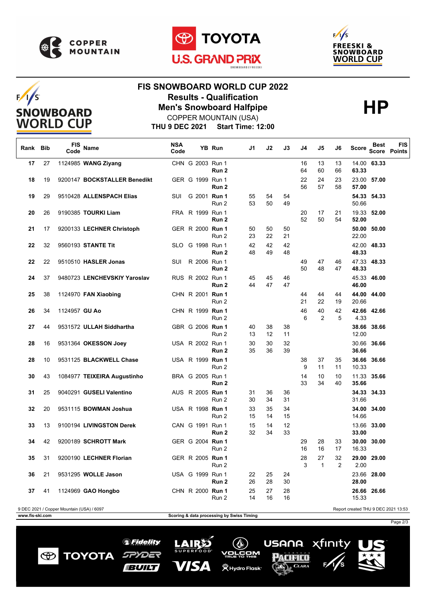

 $F/I/S$ 

**SNOWBOARD WORLD CUP** 





# **FIS SNOWBOARD WORLD CUP 2022 Results - Qualification<br>
Men's Snowboard Halfpipe<br>
COPPER MOUNTAIN (USA)**

**THU 9 DEC 2021 Start Time: 12:00** COPPER MOUNTAIN (USA)

| Rank | <b>Bib</b>                                                                       | FIS<br>Code   | Name                         | <b>NSA</b><br>Code |                         | YB Run           | J1       | J2       | J3       | J4       | J5                   | J6                   | Score          | Best        | <b>FIS</b><br><b>Score Points</b> |
|------|----------------------------------------------------------------------------------|---------------|------------------------------|--------------------|-------------------------|------------------|----------|----------|----------|----------|----------------------|----------------------|----------------|-------------|-----------------------------------|
| 17   | 27                                                                               |               | 1124985 WANG Ziyang          |                    | CHN G 2003 Run 1        | Run 2            |          |          |          | 16<br>64 | 13<br>60             | 13<br>66             | 14.00<br>63.33 | 63.33       |                                   |
| 18   | 19                                                                               |               | 9200147 BOCKSTALLER Benedikt |                    | GER G 1999 Run 1        | Run 2            |          |          |          | 22<br>56 | 24<br>57             | 23<br>58             | 57.00          | 23.00 57.00 |                                   |
| 19   | 29                                                                               |               | 9510428 ALLENSPACH Elias     |                    | SUI G 2001 Run 1        | Run 2            | 55<br>53 | 54<br>50 | 54<br>49 |          |                      |                      | 50.66          | 54.33 54.33 |                                   |
| 20   | 26                                                                               |               | 9190385 TOURKI Liam          |                    | FRA R 1999 Run 1        | Run 2            |          |          |          | 20<br>52 | 17<br>50             | 21<br>54             | 52.00          | 19.33 52.00 |                                   |
| 21   | 17                                                                               |               | 9200133 LECHNER Christoph    |                    | GER R 2000 Run 1        | Run 2            | 50<br>23 | 50<br>22 | 50<br>21 |          |                      |                      | 22.00          | 50.00 50.00 |                                   |
| 22   | 32                                                                               |               | 9560193 STANTE Tit           |                    | SLO G 1998 Run 1        | Run 2            | 42<br>48 | 42<br>49 | 42<br>48 |          |                      |                      | 48.33          | 42.00 48.33 |                                   |
| 22   | 22                                                                               |               | 9510510 HASLER Jonas         | SUI                | R 2006 Run 1            | Run 2            |          |          |          | 49<br>50 | 47<br>48             | 46<br>47             | 48.33          | 47.33 48.33 |                                   |
| 24   | 37                                                                               |               | 9480723 LENCHEVSKIY Yaroslav |                    | RUS R 2002 Run 1        | Run <sub>2</sub> | 45<br>44 | 45<br>47 | 46<br>47 |          |                      |                      | 46.00          | 45.33 46.00 |                                   |
| 25   | 38                                                                               |               | 1124970 FAN Xiaobing         |                    | CHN R 2001 Run 1        | Run 2            |          |          |          | 44<br>21 | 44<br>22             | 44<br>19             | 20.66          | 44.00 44.00 |                                   |
| 26   | 34                                                                               | 1124957 GU Ao |                              |                    | CHN R 1999 Run 1        | Run 2            |          |          |          | 46<br>6  | 40<br>$\overline{2}$ | 42<br>5              | 4.33           | 42.66 42.66 |                                   |
| 27   | 44                                                                               |               | 9531572 ULLAH Siddhartha     |                    | GBR G 2006 Run 1        | Run 2            | 40<br>13 | 38<br>12 | 38<br>11 |          |                      |                      | 12.00          | 38.66 38.66 |                                   |
| 28   | 16                                                                               |               | 9531364 OKESSON Joey         |                    | USA R 2002 Run 1        | Run 2            | 30<br>35 | 30<br>36 | 32<br>39 |          |                      |                      | 30.66<br>36.66 | 36.66       |                                   |
| 28   | 10                                                                               |               | 9531125 BLACKWELL Chase      |                    | USA R 1999 Run 1        | Run 2            |          |          |          | 38<br>9  | 37<br>11             | 35<br>11             | 10.33          | 36.66 36.66 |                                   |
| 30   | 43                                                                               |               | 1084977 TEIXEIRA Augustinho  |                    | BRA G 2005 Run 1        | Run <sub>2</sub> |          |          |          | 14<br>33 | 10<br>34             | 10<br>40             | 35.66          | 11.33 35.66 |                                   |
| 31   | 25                                                                               |               | 9040291 GUSELI Valentino     |                    | AUS R 2005 Run 1        | Run 2            | 31<br>30 | 36<br>34 | 36<br>31 |          |                      |                      | 31.66          | 34.33 34.33 |                                   |
| 32   | 20                                                                               |               | 9531115 BOWMAN Joshua        |                    | USA R 1998 <b>Run 1</b> | Run 2            | 33<br>15 | 35<br>14 | 34<br>15 |          |                      |                      | 14.66          | 34.00 34.00 |                                   |
| 33   | 13                                                                               |               | 9100194 LIVINGSTON Derek     |                    | CAN G 1991 Run 1        | Run <sub>2</sub> | 15<br>32 | 14<br>34 | 12<br>33 |          |                      |                      | 33.00          | 13.66 33.00 |                                   |
| 34   | 42                                                                               |               | 9200189 SCHROTT Mark         |                    | GER G 2004 Run 1        | Run 2            |          |          |          | 29<br>16 | 28<br>16             | 33<br>17             | 16.33          | 30.00 30.00 |                                   |
| 35   | 31                                                                               |               | 9200190 LECHNER Florian      |                    | GER R 2005 Run 1        | Run 2            |          |          |          | 28<br>3  | 27<br>$\mathbf{1}$   | 32<br>$\overline{2}$ | 2.00           | 29.00 29.00 |                                   |
| 36   | 21                                                                               |               | 9531295 WOLLE Jason          |                    | USA G 1999 Run 1        | Run 2            | 22<br>26 | 25<br>28 | 24<br>30 |          |                      |                      | 28.00          | 23.66 28.00 |                                   |
| 37   | 41                                                                               |               | 1124969 GAO Hongbo           |                    | CHN R 2000 Run 1        | Run 2            | 25<br>14 | 27<br>16 | 28<br>16 |          |                      |                      | 26.66<br>15.33 | 26.66       |                                   |
|      | 9 DEC 2021 / Copper Mountain (USA) / 6097<br>Report created THU 9 DEC 2021 13:53 |               |                              |                    |                         |                  |          |          |          |          |                      |                      |                |             |                                   |

**www.fis-ski.com Scoring & data processing by Swiss Timing**

 $\bigcirc$ 

*SFidelity* 

SPYDER

**IBUILT** 

**TOYOTA** 

LAIRS

VISA

**SUPERF** 

 $(\mathbb{Q})$ 

v<u>orčo</u>m

**(义 Hydro Flask**\*

Page 2/3